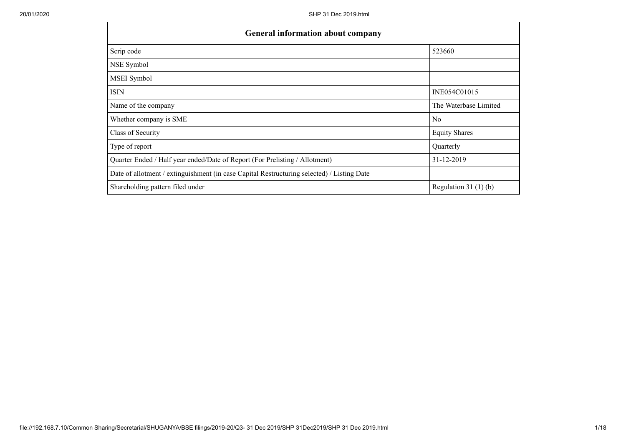| <b>General information about company</b>                                                   |                       |  |  |  |  |  |
|--------------------------------------------------------------------------------------------|-----------------------|--|--|--|--|--|
| Scrip code                                                                                 | 523660                |  |  |  |  |  |
| NSE Symbol                                                                                 |                       |  |  |  |  |  |
| MSEI Symbol                                                                                |                       |  |  |  |  |  |
| <b>ISIN</b>                                                                                | INE054C01015          |  |  |  |  |  |
| Name of the company                                                                        | The Waterbase Limited |  |  |  |  |  |
| Whether company is SME                                                                     | N <sub>0</sub>        |  |  |  |  |  |
| Class of Security                                                                          | <b>Equity Shares</b>  |  |  |  |  |  |
| Type of report                                                                             | Quarterly             |  |  |  |  |  |
| Quarter Ended / Half year ended/Date of Report (For Prelisting / Allotment)                | 31-12-2019            |  |  |  |  |  |
| Date of allotment / extinguishment (in case Capital Restructuring selected) / Listing Date |                       |  |  |  |  |  |
| Shareholding pattern filed under                                                           | Regulation $31(1)(b)$ |  |  |  |  |  |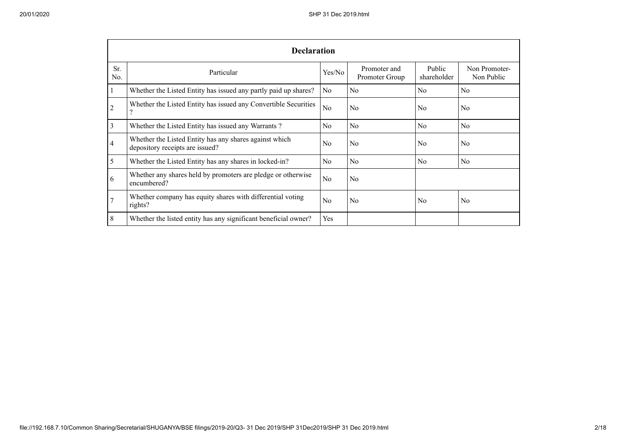|            | <b>Declaration</b>                                                                        |                |                                |                       |                             |
|------------|-------------------------------------------------------------------------------------------|----------------|--------------------------------|-----------------------|-----------------------------|
| Sr.<br>No. | Particular                                                                                | Yes/No         | Promoter and<br>Promoter Group | Public<br>shareholder | Non Promoter-<br>Non Public |
|            | Whether the Listed Entity has issued any partly paid up shares?                           | N <sub>0</sub> | N <sub>0</sub>                 | No                    | No                          |
| 2          | Whether the Listed Entity has issued any Convertible Securities<br>$\overline{\cdot}$     | N <sub>0</sub> | N <sub>o</sub>                 | No                    | N <sub>0</sub>              |
| 3          | Whether the Listed Entity has issued any Warrants?                                        | N <sub>o</sub> | N <sub>o</sub>                 | N <sub>o</sub>        | N <sub>o</sub>              |
| 4          | Whether the Listed Entity has any shares against which<br>depository receipts are issued? | N <sub>0</sub> | N <sub>o</sub>                 | N <sub>o</sub>        | N <sub>o</sub>              |
| 5          | Whether the Listed Entity has any shares in locked-in?                                    | N <sub>0</sub> | No                             | No                    | No                          |
| 6          | Whether any shares held by promoters are pledge or otherwise<br>encumbered?               | No             | N <sub>o</sub>                 |                       |                             |
|            | Whether company has equity shares with differential voting<br>rights?                     | No             | N <sub>0</sub>                 | No                    | No                          |
| 8          | Whether the listed entity has any significant beneficial owner?                           | Yes            |                                |                       |                             |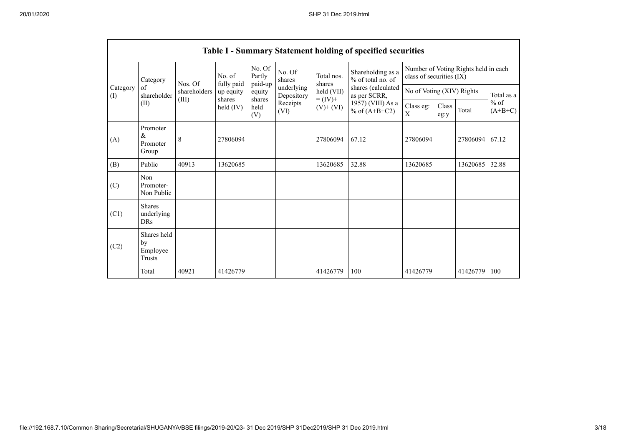|                                        |                                           |                   |                         |                             |                          |                              | <b>Table I - Summary Statement holding of specified securities</b> |                                                                  |               |                 |            |
|----------------------------------------|-------------------------------------------|-------------------|-------------------------|-----------------------------|--------------------------|------------------------------|--------------------------------------------------------------------|------------------------------------------------------------------|---------------|-----------------|------------|
|                                        | Category                                  | No. of<br>Nos. Of |                         | No. Of<br>Partly<br>paid-up | No. Of<br>shares         | Total nos.<br>shares         | Shareholding as a<br>% of total no. of                             | Number of Voting Rights held in each<br>class of securities (IX) |               |                 |            |
| Category<br>$\left( \mathrm{I}\right)$ | of<br>shareholder                         | shareholders      | fully paid<br>up equity | equity                      | underlying<br>Depository | held (VII)                   | shares (calculated<br>as per SCRR,                                 | No of Voting (XIV) Rights                                        |               |                 | Total as a |
|                                        | (II)                                      | (III)             | shares<br>held (IV)     | shares<br>held<br>(V)       | Receipts<br>(VI)         | $= (IV) +$<br>$(V)$ + $(VI)$ | 1957) (VIII) As a<br>% of $(A+B+C2)$                               | Class eg:<br>$\mathbf{X}$                                        | Class<br>eg:y | $%$ of<br>Total | $(A+B+C)$  |
| (A)                                    | Promoter<br>&<br>Promoter<br>Group        | 8                 | 27806094                |                             |                          | 27806094                     | 67.12                                                              | 27806094                                                         |               | 27806094        | 67.12      |
| (B)                                    | Public                                    | 40913             | 13620685                |                             |                          | 13620685                     | 32.88                                                              | 13620685                                                         |               | 13620685        | 32.88      |
| (C)                                    | Non<br>Promoter-<br>Non Public            |                   |                         |                             |                          |                              |                                                                    |                                                                  |               |                 |            |
| (C1)                                   | <b>Shares</b><br>underlying<br><b>DRs</b> |                   |                         |                             |                          |                              |                                                                    |                                                                  |               |                 |            |
| (C2)                                   | Shares held<br>by<br>Employee<br>Trusts   |                   |                         |                             |                          |                              |                                                                    |                                                                  |               |                 |            |
|                                        | Total                                     | 40921             | 41426779                |                             |                          | 41426779                     | 100                                                                | 41426779                                                         |               | 41426779        | 100        |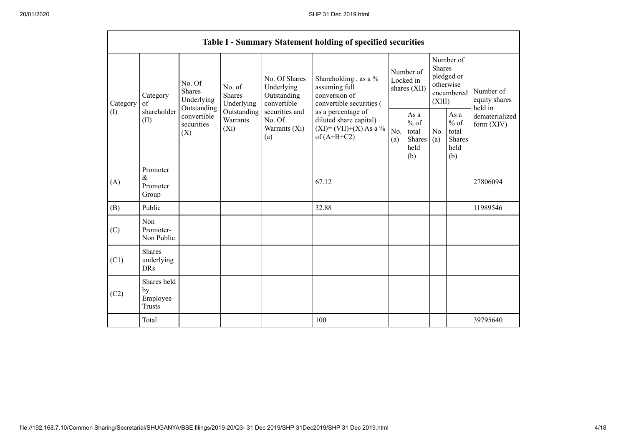|          |                                                |                                                                                 |                                    |                                                           | Table I - Summary Statement holding of specified securities                              |            |                                                  |                         |                                                         |                                       |
|----------|------------------------------------------------|---------------------------------------------------------------------------------|------------------------------------|-----------------------------------------------------------|------------------------------------------------------------------------------------------|------------|--------------------------------------------------|-------------------------|---------------------------------------------------------|---------------------------------------|
| Category | Category<br>of                                 | No. Of<br>No. of<br><b>Shares</b><br><b>Shares</b><br>Underlying<br>Outstanding | Underlying                         | No. Of Shares<br>Underlying<br>Outstanding<br>convertible | Shareholding, as a %<br>assuming full<br>conversion of<br>convertible securities (       |            | Number of<br>Locked in<br>shares (XII)           | <b>Shares</b><br>(XIII) | Number of<br>pledged or<br>otherwise<br>encumbered      | Number of<br>equity shares<br>held in |
| (I)      | shareholder<br>(II)                            | convertible<br>securities<br>(X)                                                | Outstanding<br>Warrants<br>$(X_i)$ | securities and<br>No. Of<br>Warrants (Xi)<br>(a)          | as a percentage of<br>diluted share capital)<br>$(XI)=(VII)+(X) As a %$<br>of $(A+B+C2)$ | No.<br>(a) | As a<br>$%$ of<br>total<br>Shares<br>held<br>(b) | No.<br>(a)              | As a<br>$%$ of<br>total<br><b>Shares</b><br>held<br>(b) | dematerialized<br>form $(XIV)$        |
| (A)      | Promoter<br>&<br>Promoter<br>Group             |                                                                                 |                                    |                                                           | 67.12                                                                                    |            |                                                  |                         |                                                         | 27806094                              |
| (B)      | Public                                         |                                                                                 |                                    |                                                           | 32.88                                                                                    |            |                                                  |                         |                                                         | 11989546                              |
| (C)      | Non<br>Promoter-<br>Non Public                 |                                                                                 |                                    |                                                           |                                                                                          |            |                                                  |                         |                                                         |                                       |
| (C1)     | Shares<br>underlying<br><b>DRs</b>             |                                                                                 |                                    |                                                           |                                                                                          |            |                                                  |                         |                                                         |                                       |
| (C2)     | Shares held<br>by<br>Employee<br><b>Trusts</b> |                                                                                 |                                    |                                                           |                                                                                          |            |                                                  |                         |                                                         |                                       |
|          | Total                                          |                                                                                 |                                    |                                                           | 100                                                                                      |            |                                                  |                         |                                                         | 39795640                              |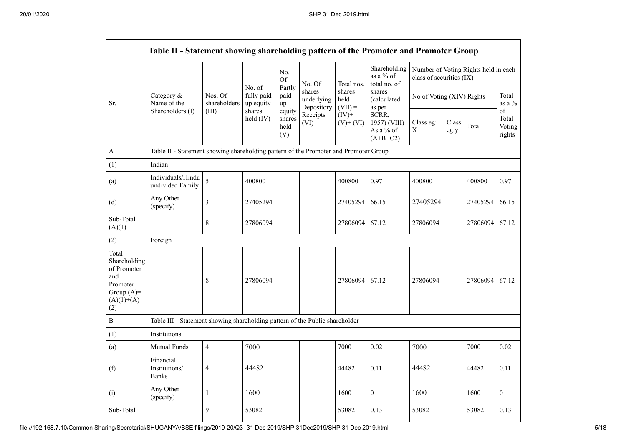|                                                                                                | Table II - Statement showing shareholding pattern of the Promoter and Promoter Group |                          |                                   |                                 |                                    |                             |                                                  |                          |                           |                                      |                                 |
|------------------------------------------------------------------------------------------------|--------------------------------------------------------------------------------------|--------------------------|-----------------------------------|---------------------------------|------------------------------------|-----------------------------|--------------------------------------------------|--------------------------|---------------------------|--------------------------------------|---------------------------------|
|                                                                                                |                                                                                      |                          |                                   | No.<br>Of                       | No. Of                             | Total nos.                  | Shareholding<br>as a % of<br>total no. of        | class of securities (IX) |                           | Number of Voting Rights held in each |                                 |
| Sr.                                                                                            | Category &<br>Name of the                                                            | Nos. Of<br>shareholders  | No. of<br>fully paid<br>up equity | Partly<br>paid-<br>up           | shares<br>underlying<br>Depository | shares<br>held<br>$(VII) =$ | shares<br>(calculated<br>as per                  |                          | No of Voting (XIV) Rights |                                      | Total<br>as a $%$               |
|                                                                                                | Shareholders (I)                                                                     | (III)                    | shares<br>held (IV)               | equity<br>shares<br>held<br>(V) | Receipts<br>(VI)                   | $(IV)$ +<br>$(V)$ + $(VI)$  | SCRR,<br>1957) (VIII)<br>As a % of<br>$(A+B+C2)$ | Class eg:<br>$\mathbf X$ | Class<br>eg:y             | Total                                | of<br>Total<br>Voting<br>rights |
| A                                                                                              | Table II - Statement showing shareholding pattern of the Promoter and Promoter Group |                          |                                   |                                 |                                    |                             |                                                  |                          |                           |                                      |                                 |
| (1)                                                                                            | Indian                                                                               |                          |                                   |                                 |                                    |                             |                                                  |                          |                           |                                      |                                 |
| (a)                                                                                            | Individuals/Hindu<br>undivided Family                                                | 5                        | 400800                            |                                 |                                    | 400800                      | 0.97                                             | 400800                   |                           | 400800                               | 0.97                            |
| (d)                                                                                            | Any Other<br>(specify)                                                               | $\mathfrak{Z}$           | 27405294                          |                                 |                                    | 27405294                    | 66.15                                            | 27405294                 |                           | 27405294                             | 66.15                           |
| Sub-Total<br>(A)(1)                                                                            |                                                                                      | 8                        | 27806094                          |                                 |                                    | 27806094                    | 67.12                                            | 27806094                 |                           | 27806094                             | 67.12                           |
| (2)                                                                                            | Foreign                                                                              |                          |                                   |                                 |                                    |                             |                                                  |                          |                           |                                      |                                 |
| Total<br>Shareholding<br>of Promoter<br>and<br>Promoter<br>Group $(A)=$<br>$(A)(1)+(A)$<br>(2) |                                                                                      | 8                        | 27806094                          |                                 |                                    | 27806094                    | 67.12                                            | 27806094                 |                           | 27806094 67.12                       |                                 |
| $\, {\bf B}$                                                                                   | Table III - Statement showing shareholding pattern of the Public shareholder         |                          |                                   |                                 |                                    |                             |                                                  |                          |                           |                                      |                                 |
| (1)                                                                                            | Institutions                                                                         |                          |                                   |                                 |                                    |                             |                                                  |                          |                           |                                      |                                 |
| (a)                                                                                            | Mutual Funds                                                                         | $\overline{4}$           | 7000                              |                                 |                                    | 7000                        | 0.02                                             | 7000                     |                           | 7000                                 | 0.02                            |
| (f)                                                                                            | Financial<br>Institutions/<br><b>Banks</b>                                           | $\overline{\mathcal{A}}$ | 44482                             |                                 |                                    | 44482                       | 0.11                                             | 44482                    |                           | 44482                                | 0.11                            |
| (i)                                                                                            | Any Other<br>(specify)                                                               | $\mathbf{1}$             | 1600                              |                                 |                                    | 1600                        | $\boldsymbol{0}$                                 | 1600                     |                           | 1600                                 | $\boldsymbol{0}$                |
| Sub-Total                                                                                      |                                                                                      | 9                        | 53082                             |                                 |                                    | 53082                       | 0.13                                             | 53082                    |                           | 53082                                | 0.13                            |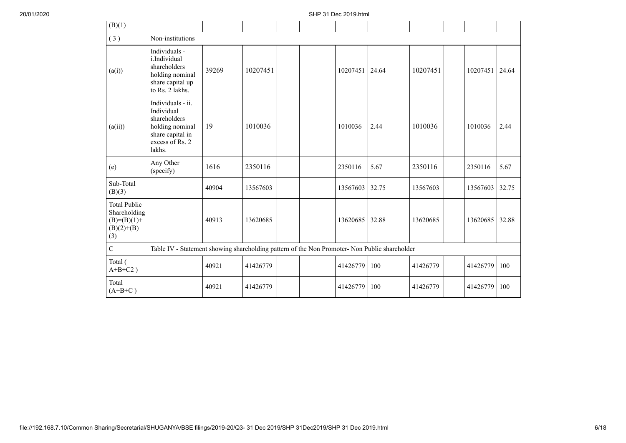| (B)(1)                                                                      |                                                                                                                     |       |          |  |          |       |          |          |       |
|-----------------------------------------------------------------------------|---------------------------------------------------------------------------------------------------------------------|-------|----------|--|----------|-------|----------|----------|-------|
| (3)                                                                         | Non-institutions                                                                                                    |       |          |  |          |       |          |          |       |
| (a(i))                                                                      | Individuals -<br>i.Individual<br>shareholders<br>holding nominal<br>share capital up<br>to Rs. 2 lakhs.             | 39269 | 10207451 |  | 10207451 | 24.64 | 10207451 | 10207451 | 24.64 |
| (a(ii))                                                                     | Individuals - ii.<br>Individual<br>shareholders<br>holding nominal<br>share capital in<br>excess of Rs. 2<br>lakhs. | 19    | 1010036  |  | 1010036  | 2.44  | 1010036  | 1010036  | 2.44  |
| (e)                                                                         | Any Other<br>(specify)                                                                                              | 1616  | 2350116  |  | 2350116  | 5.67  | 2350116  | 2350116  | 5.67  |
| Sub-Total<br>(B)(3)                                                         |                                                                                                                     | 40904 | 13567603 |  | 13567603 | 32.75 | 13567603 | 13567603 | 32.75 |
| <b>Total Public</b><br>Shareholding<br>$(B)=(B)(1)+$<br>$(B)(2)+(B)$<br>(3) |                                                                                                                     | 40913 | 13620685 |  | 13620685 | 32.88 | 13620685 | 13620685 | 32.88 |
| $\overline{C}$                                                              | Table IV - Statement showing shareholding pattern of the Non Promoter- Non Public shareholder                       |       |          |  |          |       |          |          |       |
| Total (<br>$A+B+C2$ )                                                       |                                                                                                                     | 40921 | 41426779 |  | 41426779 | 100   | 41426779 | 41426779 | 100   |
| Total<br>$(A+B+C)$                                                          |                                                                                                                     | 40921 | 41426779 |  | 41426779 | 100   | 41426779 | 41426779 | 100   |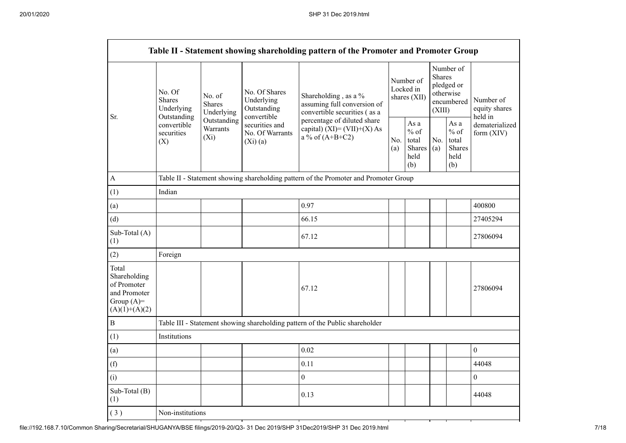|                                                                                         |                                                 |                                       |                                                           | Table II - Statement showing shareholding pattern of the Promoter and Promoter Group |  |                                                  |                  |                                                    |                                       |
|-----------------------------------------------------------------------------------------|-------------------------------------------------|---------------------------------------|-----------------------------------------------------------|--------------------------------------------------------------------------------------|--|--------------------------------------------------|------------------|----------------------------------------------------|---------------------------------------|
|                                                                                         | No. Of<br>Shares<br>Underlying                  | No. of<br><b>Shares</b><br>Underlying | No. Of Shares<br>Underlying<br>Outstanding<br>convertible | Shareholding, as a %<br>assuming full conversion of<br>convertible securities (as a  |  | Number of<br>Locked in<br>shares (XII)           | Shares<br>(XIII) | Number of<br>pledged or<br>otherwise<br>encumbered | Number of<br>equity shares<br>held in |
| Sr.<br>A                                                                                | Outstanding<br>convertible<br>securities<br>(X) | Outstanding<br>Warrants<br>$(X_i)$    | securities and<br>No. Of Warrants<br>(Xi)(a)              | percentage of diluted share<br>capital) $(XI) = (VII)+(X) As$<br>a % of $(A+B+C2)$   |  | As a<br>$%$ of<br>total<br>Shares<br>held<br>(b) | No.<br>(a)       | As a<br>$%$ of<br>total<br>Shares<br>held<br>(b)   | dematerialized<br>form $(XIV)$        |
|                                                                                         |                                                 |                                       |                                                           | Table II - Statement showing shareholding pattern of the Promoter and Promoter Group |  |                                                  |                  |                                                    |                                       |
| (1)                                                                                     | Indian                                          |                                       |                                                           |                                                                                      |  |                                                  |                  |                                                    |                                       |
| (a)                                                                                     |                                                 |                                       |                                                           | 0.97                                                                                 |  |                                                  |                  |                                                    | 400800                                |
| (d)                                                                                     |                                                 |                                       |                                                           | 66.15                                                                                |  |                                                  |                  |                                                    | 27405294                              |
| Sub-Total (A)<br>(1)                                                                    |                                                 |                                       |                                                           | 67.12                                                                                |  |                                                  |                  |                                                    | 27806094                              |
| (2)                                                                                     | Foreign                                         |                                       |                                                           |                                                                                      |  |                                                  |                  |                                                    |                                       |
| Total<br>Shareholding<br>of Promoter<br>and Promoter<br>Group $(A)=$<br>$(A)(1)+(A)(2)$ |                                                 |                                       |                                                           | 67.12                                                                                |  |                                                  |                  |                                                    | 27806094                              |
| $\, {\bf B}$                                                                            |                                                 |                                       |                                                           | Table III - Statement showing shareholding pattern of the Public shareholder         |  |                                                  |                  |                                                    |                                       |
| (1)                                                                                     | Institutions                                    |                                       |                                                           |                                                                                      |  |                                                  |                  |                                                    |                                       |
| (a)                                                                                     |                                                 |                                       |                                                           | 0.02                                                                                 |  |                                                  |                  |                                                    | $\boldsymbol{0}$                      |
| (f)                                                                                     |                                                 |                                       |                                                           | 0.11                                                                                 |  |                                                  |                  |                                                    | 44048                                 |
| (i)                                                                                     |                                                 |                                       |                                                           | $\boldsymbol{0}$                                                                     |  |                                                  |                  |                                                    | $\overline{0}$                        |
| Sub-Total (B)<br>(1)                                                                    |                                                 |                                       |                                                           | 0.13                                                                                 |  |                                                  |                  |                                                    | 44048                                 |
| (3)                                                                                     | Non-institutions                                |                                       |                                                           |                                                                                      |  |                                                  |                  |                                                    |                                       |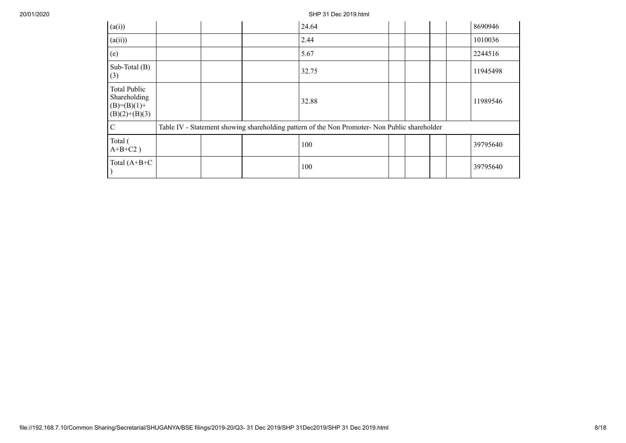20/01/2020 SHP 31 Dec 2019.html

| (a(i))                                                                  |  | 24.64                                                                                         |  |  | 8690946  |
|-------------------------------------------------------------------------|--|-----------------------------------------------------------------------------------------------|--|--|----------|
| (a(ii))                                                                 |  | 2.44                                                                                          |  |  | 1010036  |
| (e)                                                                     |  | 5.67                                                                                          |  |  | 2244516  |
| Sub-Total (B)<br>(3)                                                    |  | 32.75                                                                                         |  |  | 11945498 |
| <b>Total Public</b><br>Shareholding<br>$(B)=(B)(1)+$<br>$(B)(2)+(B)(3)$ |  | 32.88                                                                                         |  |  | 11989546 |
| С                                                                       |  | Table IV - Statement showing shareholding pattern of the Non Promoter- Non Public shareholder |  |  |          |
| Total (<br>$A+B+C2$ )                                                   |  | 100                                                                                           |  |  | 39795640 |
| Total $(A+B+C$                                                          |  | 100                                                                                           |  |  | 39795640 |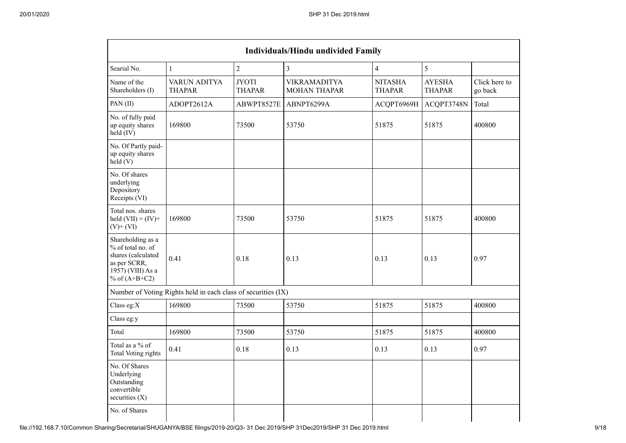|                                                                                                                      |                                                               |                               | <b>Individuals/Hindu undivided Family</b>  |                                 |                                |                          |
|----------------------------------------------------------------------------------------------------------------------|---------------------------------------------------------------|-------------------------------|--------------------------------------------|---------------------------------|--------------------------------|--------------------------|
| Searial No.                                                                                                          | $\mathbf{1}$                                                  | $\overline{2}$                | $\overline{3}$                             | $\overline{4}$                  | 5                              |                          |
| Name of the<br>Shareholders (I)                                                                                      | <b>VARUN ADITYA</b><br><b>THAPAR</b>                          | <b>JYOTI</b><br><b>THAPAR</b> | <b>VIKRAMADITYA</b><br><b>MOHAN THAPAR</b> | <b>NITASHA</b><br><b>THAPAR</b> | <b>AYESHA</b><br><b>THAPAR</b> | Click here to<br>go back |
| PAN(II)                                                                                                              | ADOPT2612A                                                    | ABWPT8527E                    | ABNPT6299A                                 | ACQPT6969H                      | ACQPT3748N                     | Total                    |
| No. of fully paid<br>up equity shares<br>held (IV)                                                                   | 169800                                                        | 73500                         | 53750                                      | 51875                           | 51875                          | 400800                   |
| No. Of Partly paid-<br>up equity shares<br>held(V)                                                                   |                                                               |                               |                                            |                                 |                                |                          |
| No. Of shares<br>underlying<br>Depository<br>Receipts (VI)                                                           |                                                               |                               |                                            |                                 |                                |                          |
| Total nos. shares<br>held $(VII) = (IV) +$<br>$(V)$ + $(VI)$                                                         | 169800                                                        | 73500                         | 53750                                      | 51875                           | 51875                          | 400800                   |
| Shareholding as a<br>% of total no. of<br>shares (calculated<br>as per SCRR,<br>1957) (VIII) As a<br>% of $(A+B+C2)$ | 0.41                                                          | 0.18                          | 0.13                                       | 0.13                            | 0.13                           | 0.97                     |
|                                                                                                                      | Number of Voting Rights held in each class of securities (IX) |                               |                                            |                                 |                                |                          |
| Class eg:X                                                                                                           | 169800                                                        | 73500                         | 53750                                      | 51875                           | 51875                          | 400800                   |
| Class eg:y                                                                                                           |                                                               |                               |                                            |                                 |                                |                          |
| Total                                                                                                                | 169800                                                        | 73500                         | 53750                                      | 51875                           | 51875                          | 400800                   |
| Total as a % of<br>Total Voting rights                                                                               | 0.41                                                          | 0.18                          | 0.13                                       | 0.13                            | 0.13                           | 0.97                     |
| No. Of Shares<br>Underlying<br>Outstanding<br>convertible<br>securities $(X)$                                        |                                                               |                               |                                            |                                 |                                |                          |
| No. of Shares                                                                                                        |                                                               |                               |                                            |                                 |                                |                          |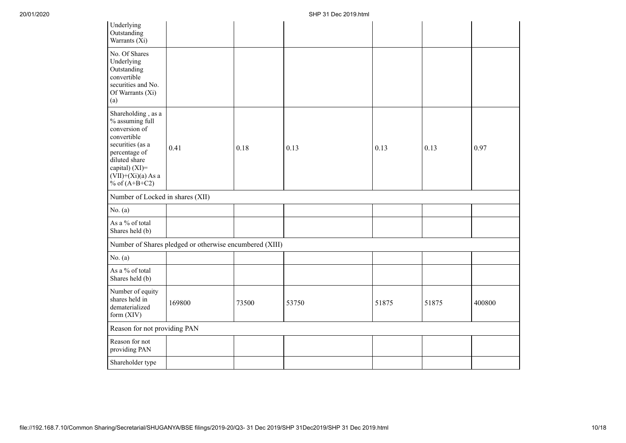| Underlying<br>Outstanding<br>Warrants (Xi)                                                                                                                                               |                                                         |       |       |       |       |        |
|------------------------------------------------------------------------------------------------------------------------------------------------------------------------------------------|---------------------------------------------------------|-------|-------|-------|-------|--------|
| No. Of Shares<br>Underlying<br>Outstanding<br>convertible<br>securities and No.<br>Of Warrants (Xi)<br>(a)                                                                               |                                                         |       |       |       |       |        |
| Shareholding, as a<br>% assuming full<br>conversion of<br>convertible<br>securities (as a<br>percentage of<br>diluted share<br>capital) (XI)=<br>$(VII)+(Xi)(a)$ As a<br>% of $(A+B+C2)$ | 0.41                                                    | 0.18  | 0.13  | 0.13  | 0.13  | 0.97   |
| Number of Locked in shares (XII)                                                                                                                                                         |                                                         |       |       |       |       |        |
| No. $(a)$                                                                                                                                                                                |                                                         |       |       |       |       |        |
| As a % of total<br>Shares held (b)                                                                                                                                                       |                                                         |       |       |       |       |        |
|                                                                                                                                                                                          | Number of Shares pledged or otherwise encumbered (XIII) |       |       |       |       |        |
| No. $(a)$                                                                                                                                                                                |                                                         |       |       |       |       |        |
| As a % of total<br>Shares held (b)                                                                                                                                                       |                                                         |       |       |       |       |        |
| Number of equity<br>shares held in<br>dematerialized<br>form (XIV)                                                                                                                       | 169800                                                  | 73500 | 53750 | 51875 | 51875 | 400800 |
| Reason for not providing PAN                                                                                                                                                             |                                                         |       |       |       |       |        |
| Reason for not<br>providing PAN                                                                                                                                                          |                                                         |       |       |       |       |        |
| Shareholder type                                                                                                                                                                         |                                                         |       |       |       |       |        |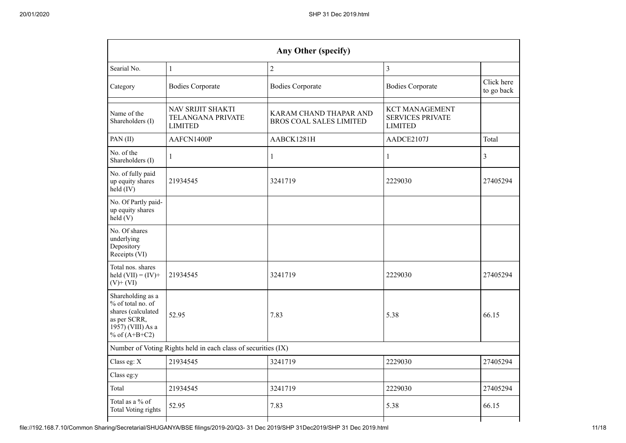|                                                                                                                      |                                                               | Any Other (specify)                                      |                                                                    |                          |
|----------------------------------------------------------------------------------------------------------------------|---------------------------------------------------------------|----------------------------------------------------------|--------------------------------------------------------------------|--------------------------|
| Searial No.                                                                                                          | $\mathbf{1}$                                                  | $\overline{2}$                                           | 3                                                                  |                          |
| Category                                                                                                             | <b>Bodies Corporate</b>                                       | <b>Bodies Corporate</b>                                  | <b>Bodies Corporate</b>                                            | Click here<br>to go back |
| Name of the<br>Shareholders (I)                                                                                      | NAV SRIJIT SHAKTI<br>TELANGANA PRIVATE<br><b>LIMITED</b>      | KARAM CHAND THAPAR AND<br><b>BROS COAL SALES LIMITED</b> | <b>KCT MANAGEMENT</b><br><b>SERVICES PRIVATE</b><br><b>LIMITED</b> |                          |
| PAN(II)                                                                                                              | AAFCN1400P                                                    | AABCK1281H                                               | AADCE2107J                                                         | Total                    |
| No. of the<br>Shareholders (I)                                                                                       | 1                                                             | 1                                                        | $\mathbf{1}$                                                       | 3                        |
| No. of fully paid<br>up equity shares<br>$held$ (IV)                                                                 | 21934545                                                      | 3241719                                                  | 2229030                                                            | 27405294                 |
| No. Of Partly paid-<br>up equity shares<br>held(V)                                                                   |                                                               |                                                          |                                                                    |                          |
| No. Of shares<br>underlying<br>Depository<br>Receipts (VI)                                                           |                                                               |                                                          |                                                                    |                          |
| Total nos. shares<br>held $(VII) = (IV) +$<br>$(V)$ + $(VI)$                                                         | 21934545                                                      | 3241719                                                  | 2229030                                                            | 27405294                 |
| Shareholding as a<br>% of total no. of<br>shares (calculated<br>as per SCRR,<br>1957) (VIII) As a<br>% of $(A+B+C2)$ | 52.95                                                         | 7.83                                                     | 5.38                                                               | 66.15                    |
|                                                                                                                      | Number of Voting Rights held in each class of securities (IX) |                                                          |                                                                    |                          |
| Class eg: X                                                                                                          | 21934545                                                      | 3241719                                                  | 2229030                                                            | 27405294                 |
| Class eg:y                                                                                                           |                                                               |                                                          |                                                                    |                          |
| Total                                                                                                                | 21934545                                                      | 3241719                                                  | 2229030                                                            | 27405294                 |
| Total as a % of<br><b>Total Voting rights</b>                                                                        | 52.95                                                         | 7.83                                                     | 5.38                                                               | 66.15                    |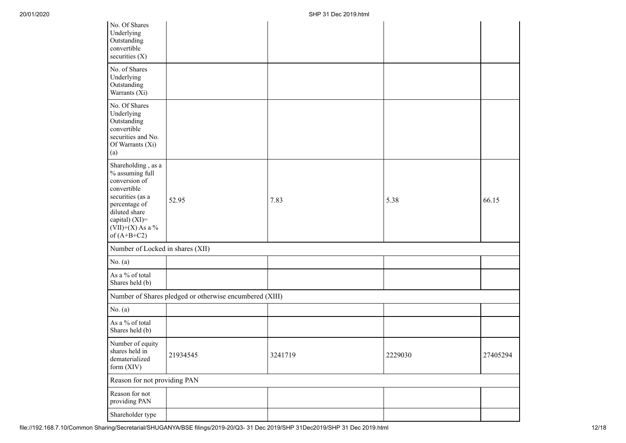| No. Of Shares<br>Underlying<br>Outstanding<br>convertible<br>securities (X)                                                                                                          |                                                         |         |         |          |
|--------------------------------------------------------------------------------------------------------------------------------------------------------------------------------------|---------------------------------------------------------|---------|---------|----------|
| No. of Shares<br>Underlying<br>Outstanding<br>Warrants (Xi)                                                                                                                          |                                                         |         |         |          |
| No. Of Shares<br>Underlying<br>Outstanding<br>convertible<br>securities and No.<br>Of Warrants (Xi)<br>(a)                                                                           |                                                         |         |         |          |
| Shareholding, as a<br>% assuming full<br>conversion of<br>convertible<br>securities (as a<br>percentage of<br>diluted share<br>capital) (XI)=<br>$(VII)+(X)$ As a %<br>of $(A+B+C2)$ | 52.95                                                   | 7.83    | 5.38    | 66.15    |
| Number of Locked in shares (XII)                                                                                                                                                     |                                                         |         |         |          |
| No. $(a)$                                                                                                                                                                            |                                                         |         |         |          |
| As a % of total<br>Shares held (b)                                                                                                                                                   |                                                         |         |         |          |
|                                                                                                                                                                                      | Number of Shares pledged or otherwise encumbered (XIII) |         |         |          |
| No. $(a)$                                                                                                                                                                            |                                                         |         |         |          |
| As a % of total<br>Shares held (b)                                                                                                                                                   |                                                         |         |         |          |
| Number of equity<br>shares held in<br>dematerialized<br>form (XIV)                                                                                                                   | 21934545                                                | 3241719 | 2229030 | 27405294 |
| Reason for not providing PAN                                                                                                                                                         |                                                         |         |         |          |
| Reason for not<br>providing PAN                                                                                                                                                      |                                                         |         |         |          |
| Shareholder type                                                                                                                                                                     |                                                         |         |         |          |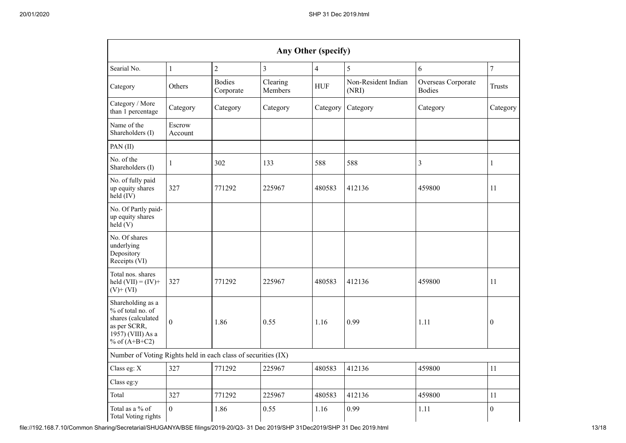|                                                                                                                      |                   |                            | Any Other (specify) |                |                              |                                     |                  |
|----------------------------------------------------------------------------------------------------------------------|-------------------|----------------------------|---------------------|----------------|------------------------------|-------------------------------------|------------------|
| Searial No.                                                                                                          | $\mathbf{1}$      | $\sqrt{2}$                 | $\mathfrak{Z}$      | $\overline{4}$ | 5                            | 6                                   | $\boldsymbol{7}$ |
| Category                                                                                                             | Others            | <b>Bodies</b><br>Corporate | Clearing<br>Members | <b>HUF</b>     | Non-Resident Indian<br>(NRI) | Overseas Corporate<br><b>Bodies</b> | <b>Trusts</b>    |
| Category / More<br>than 1 percentage                                                                                 | Category          | Category                   | Category            | Category       | Category                     | Category                            | Category         |
| Name of the<br>Shareholders (I)                                                                                      | Escrow<br>Account |                            |                     |                |                              |                                     |                  |
| PAN(II)                                                                                                              |                   |                            |                     |                |                              |                                     |                  |
| No. of the<br>Shareholders (I)                                                                                       | 1                 | 302                        | 133                 | 588            | 588                          | $\mathfrak{Z}$                      | 1                |
| No. of fully paid<br>up equity shares<br>$held$ (IV)                                                                 | 327               | 771292                     | 225967              | 480583         | 412136                       | 459800                              | 11               |
| No. Of Partly paid-<br>up equity shares<br>held(V)                                                                   |                   |                            |                     |                |                              |                                     |                  |
| No. Of shares<br>underlying<br>Depository<br>Receipts (VI)                                                           |                   |                            |                     |                |                              |                                     |                  |
| Total nos. shares<br>held $(VII) = (IV) +$<br>$(V)$ + $(VI)$                                                         | 327               | 771292                     | 225967              | 480583         | 412136                       | 459800                              | 11               |
| Shareholding as a<br>% of total no. of<br>shares (calculated<br>as per SCRR,<br>1957) (VIII) As a<br>% of $(A+B+C2)$ | $\theta$          | 1.86                       | 0.55                | 1.16           | 0.99                         | 1.11                                | $\theta$         |
| Number of Voting Rights held in each class of securities (IX)                                                        |                   |                            |                     |                |                              |                                     |                  |
| Class eg: X                                                                                                          | 327               | 771292                     | 225967              | 480583         | 412136                       | 459800                              | 11               |
| Class eg:y                                                                                                           |                   |                            |                     |                |                              |                                     |                  |
| Total                                                                                                                | 327               | 771292                     | 225967              | 480583         | 412136                       | 459800                              | 11               |
| Total as a % of<br>Total Voting rights                                                                               | $\mathbf{0}$      | 1.86                       | 0.55                | 1.16           | 0.99                         | 1.11                                | $\mathbf{0}$     |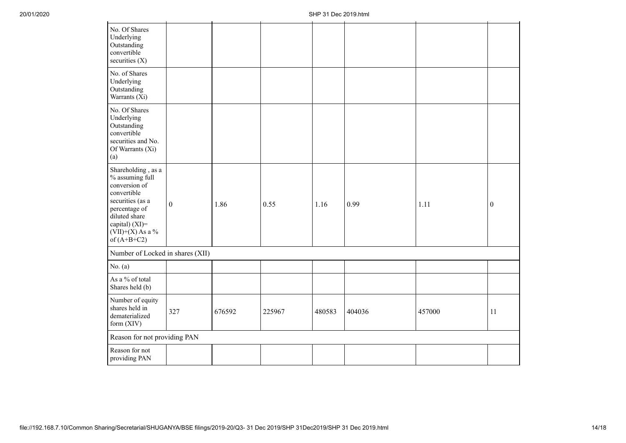| No. Of Shares<br>Underlying<br>Outstanding<br>convertible<br>securities (X)                                                                                                          |                  |        |        |        |        |        |                  |
|--------------------------------------------------------------------------------------------------------------------------------------------------------------------------------------|------------------|--------|--------|--------|--------|--------|------------------|
| No. of Shares<br>Underlying<br>Outstanding<br>Warrants (Xi)                                                                                                                          |                  |        |        |        |        |        |                  |
| No. Of Shares<br>Underlying<br>Outstanding<br>convertible<br>securities and No.<br>Of Warrants (Xi)<br>(a)                                                                           |                  |        |        |        |        |        |                  |
| Shareholding, as a<br>% assuming full<br>conversion of<br>convertible<br>securities (as a<br>percentage of<br>diluted share<br>capital) (XI)=<br>$(VII)+(X)$ As a %<br>of $(A+B+C2)$ | $\boldsymbol{0}$ | 1.86   | 0.55   | 1.16   | 0.99   | 1.11   | $\boldsymbol{0}$ |
| Number of Locked in shares (XII)                                                                                                                                                     |                  |        |        |        |        |        |                  |
| No. $(a)$                                                                                                                                                                            |                  |        |        |        |        |        |                  |
| As a % of total<br>Shares held (b)                                                                                                                                                   |                  |        |        |        |        |        |                  |
| Number of equity<br>shares held in<br>dematerialized<br>form (XIV)                                                                                                                   | 327              | 676592 | 225967 | 480583 | 404036 | 457000 | 11               |
| Reason for not providing PAN                                                                                                                                                         |                  |        |        |        |        |        |                  |
| Reason for not<br>providing PAN                                                                                                                                                      |                  |        |        |        |        |        |                  |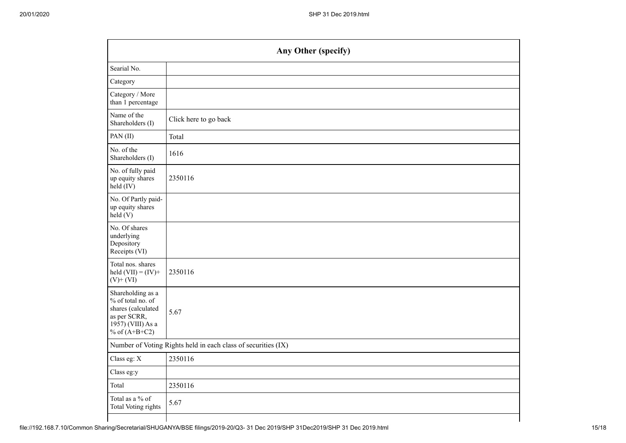| Any Other (specify)                                           |  |  |  |  |  |  |  |  |  |
|---------------------------------------------------------------|--|--|--|--|--|--|--|--|--|
|                                                               |  |  |  |  |  |  |  |  |  |
|                                                               |  |  |  |  |  |  |  |  |  |
|                                                               |  |  |  |  |  |  |  |  |  |
| Click here to go back                                         |  |  |  |  |  |  |  |  |  |
| Total                                                         |  |  |  |  |  |  |  |  |  |
| 1616                                                          |  |  |  |  |  |  |  |  |  |
| 2350116                                                       |  |  |  |  |  |  |  |  |  |
|                                                               |  |  |  |  |  |  |  |  |  |
|                                                               |  |  |  |  |  |  |  |  |  |
| 2350116                                                       |  |  |  |  |  |  |  |  |  |
| 5.67                                                          |  |  |  |  |  |  |  |  |  |
| Number of Voting Rights held in each class of securities (IX) |  |  |  |  |  |  |  |  |  |
| 2350116                                                       |  |  |  |  |  |  |  |  |  |
|                                                               |  |  |  |  |  |  |  |  |  |
| 2350116                                                       |  |  |  |  |  |  |  |  |  |
| 5.67                                                          |  |  |  |  |  |  |  |  |  |
|                                                               |  |  |  |  |  |  |  |  |  |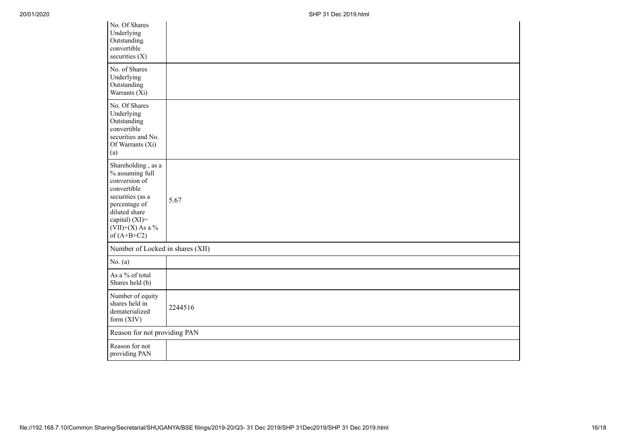| No. Of Shares<br>Underlying<br>Outstanding<br>convertible<br>securities (X)                                                                                                          |         |
|--------------------------------------------------------------------------------------------------------------------------------------------------------------------------------------|---------|
| No. of Shares<br>Underlying<br>Outstanding<br>Warrants (Xi)                                                                                                                          |         |
| No. Of Shares<br>Underlying<br>Outstanding<br>convertible<br>securities and No.<br>Of Warrants (Xi)<br>(a)                                                                           |         |
| Shareholding, as a<br>% assuming full<br>conversion of<br>convertible<br>securities (as a<br>percentage of<br>diluted share<br>capital) (XI)=<br>$(VII)+(X)$ As a %<br>of $(A+B+C2)$ | 5.67    |
| Number of Locked in shares (XII)                                                                                                                                                     |         |
| No. $(a)$                                                                                                                                                                            |         |
| As a % of total<br>Shares held (b)                                                                                                                                                   |         |
| Number of equity<br>shares held in<br>dematerialized<br>form (XIV)                                                                                                                   | 2244516 |
| Reason for not providing PAN                                                                                                                                                         |         |
| Reason for not<br>providing PAN                                                                                                                                                      |         |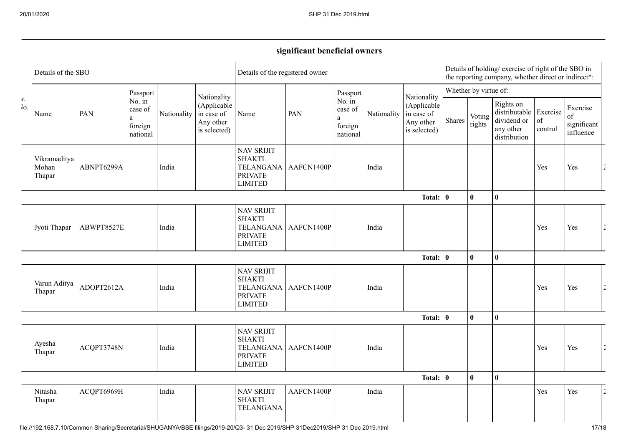## **significant beneficial owners**

|           | Details of the SBO              |            |                                                                   |             |                                                                       | Details of the registered owner                                                                |                        |                                                                   |             |                                                                       | Details of holding/ exercise of right of the SBO in<br>the reporting company, whether direct or indirect*: |                  |                                                                                 |               |                                            |                       |
|-----------|---------------------------------|------------|-------------------------------------------------------------------|-------------|-----------------------------------------------------------------------|------------------------------------------------------------------------------------------------|------------------------|-------------------------------------------------------------------|-------------|-----------------------------------------------------------------------|------------------------------------------------------------------------------------------------------------|------------------|---------------------------------------------------------------------------------|---------------|--------------------------------------------|-----------------------|
|           | Name                            |            | Passport                                                          |             |                                                                       | Name                                                                                           | PAN                    | Passport                                                          |             | Nationality<br>(Applicable<br>in case of<br>Any other<br>is selected) | Whether by virtue of:                                                                                      |                  |                                                                                 |               |                                            |                       |
| r.<br>Io. |                                 | PAN        | No. $\overline{\text{in}}$<br>case of<br>a<br>foreign<br>national | Nationality | Nationality<br>(Applicable<br>in case of<br>Any other<br>is selected) |                                                                                                |                        | No. $\overline{\text{in}}$<br>case of<br>a<br>foreign<br>national | Nationality |                                                                       | Shares                                                                                                     | Voting<br>rights | Rights on<br>distributable Exercise<br>dividend or<br>any other<br>distribution | of<br>control | Exercise<br>of<br>significant<br>influence |                       |
|           | Vikramaditya<br>Mohan<br>Thapar | ABNPT6299A |                                                                   | India       |                                                                       | <b>NAV SRIJIT</b><br><b>SHAKTI</b><br>TELANGANA AAFCN1400P<br><b>PRIVATE</b><br><b>LIMITED</b> |                        |                                                                   | India       |                                                                       |                                                                                                            |                  |                                                                                 | Yes           | Yes                                        | $\tilde{\phantom{a}}$ |
|           |                                 |            |                                                                   |             |                                                                       |                                                                                                | Total: $\vert 0 \vert$ |                                                                   |             |                                                                       |                                                                                                            |                  | $\bf{0}$                                                                        |               |                                            |                       |
|           | Jyoti Thapar                    | ABWPT8527E |                                                                   | India       |                                                                       | <b>NAV SRIJIT</b><br><b>SHAKTI</b><br><b>TELANGANA</b><br><b>PRIVATE</b><br><b>LIMITED</b>     | AAFCN1400P             |                                                                   | India       |                                                                       |                                                                                                            |                  |                                                                                 | Yes           | Yes                                        | $\hat{\mathbf{z}}$    |
|           |                                 |            |                                                                   |             | <b>Total:</b>                                                         |                                                                                                |                        |                                                                   |             | $\mathbf{0}$<br>$\mathbf{0}$<br>$\bf{0}$                              |                                                                                                            |                  |                                                                                 |               |                                            |                       |
|           | Varun Aditya<br>Thapar          | ADOPT2612A |                                                                   | India       |                                                                       | <b>NAV SRIJIT</b><br><b>SHAKTI</b><br>TELANGANA AAFCN1400P<br><b>PRIVATE</b><br><b>LIMITED</b> |                        |                                                                   | India       |                                                                       |                                                                                                            |                  |                                                                                 | Yes           | Yes                                        | $\hat{z}$             |
|           |                                 |            |                                                                   |             |                                                                       |                                                                                                |                        |                                                                   |             | <b>Total:</b>                                                         | O                                                                                                          | $\bf{0}$         | $\mathbf{0}$                                                                    |               |                                            |                       |
|           | Ayesha<br>Thapar                | ACQPT3748N |                                                                   | India       |                                                                       | <b>NAV SRIJIT</b><br><b>SHAKTI</b><br>TELANGANA AAFCN1400P<br><b>PRIVATE</b><br><b>LIMITED</b> |                        |                                                                   | India       |                                                                       |                                                                                                            |                  |                                                                                 | Yes           | Yes                                        | $\hat{\mathbf{z}}$    |
|           |                                 |            |                                                                   |             |                                                                       |                                                                                                |                        |                                                                   |             | <b>Total:</b>                                                         | $\mathbf{0}$                                                                                               | $\bf{0}$         | $\bf{0}$                                                                        |               |                                            |                       |
|           | Nitasha<br>Thapar               | ACQPT6969H |                                                                   | India       |                                                                       | <b>NAV SRIJIT</b><br><b>SHAKTI</b><br><b>TELANGANA</b>                                         | AAFCN1400P             |                                                                   | India       |                                                                       |                                                                                                            |                  |                                                                                 | Yes           | Yes                                        | $\hat{\mathbf{z}}$    |